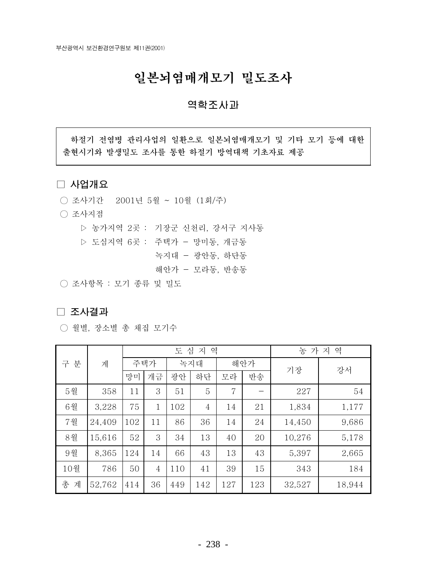## 일본뇌염매개모기 밀도조사

### 역학조사과

하절기 전염병 관리사업의 일환으로 일본뇌염매개모기 및 기타 모기 등에 대한 출현시기와 발생밀도 조사를 통한 하절기 방역대책 기초자료 제공

### □ 사업개요

- 조사기간 2001년 5월 ~ 10월 (1회/주)
- 조사지점
	- ▷ 농가지역 2곳 : 기장군 신천리, 강서구 지사동
	- ▷ 도심지역 6곳 : 주택가 망미동, 개금동
		- 녹지대 광안동, 하단동
		- 해안가 모라동, 반송동

○ 조사항목 : 모기 종류 및 밀도

#### □ 조사결과

○ 월별, 장소별 총 채집 모기수

|        | 계      | 역<br>심<br>지<br>도 |                |     |                |     |     | 농 가 지<br>역 |        |  |
|--------|--------|------------------|----------------|-----|----------------|-----|-----|------------|--------|--|
| 구<br>분 |        | 주택가              |                | 녹지대 |                | 해안가 |     |            | 강서     |  |
|        |        | 망미               | 개금             | 광안  | 하단             | 모라  | 반송  | 기장         |        |  |
| 5월     | 358    | 11               | 3              | 51  | 5              | 7   |     | 227        | 54     |  |
| 6월     | 3,228  | 75               | $\mathbf{1}$   | 102 | $\overline{4}$ | 14  | 21  | 1,834      | 1,177  |  |
| 7월     | 24,409 | 102              | 11             | 86  | 36             | 14  | 24  | 14,450     | 9,686  |  |
| 8월     | 15,616 | 52               | 3              | 34  | 13             | 40  | 20  | 10,276     | 5,178  |  |
| 9월     | 8,365  | 124              | 14             | 66  | 43             | 13  | 43  | 5,397      | 2,665  |  |
| 10월    | 786    | 50               | $\overline{4}$ | 110 | 41             | 39  | 15  | 343        | 184    |  |
| 총<br>계 | 52,762 | 414              | 36             | 449 | 142            | 127 | 123 | 32,527     | 18,944 |  |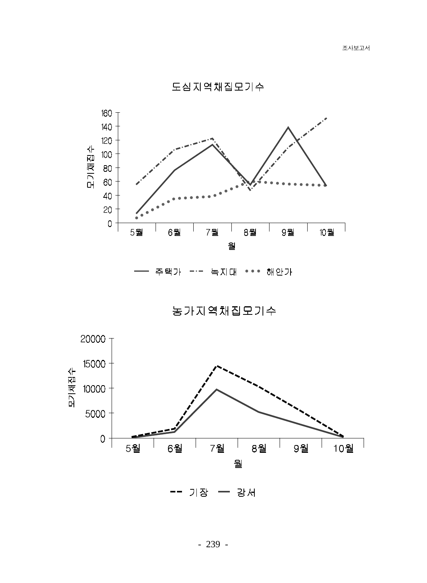

도심지역채집모기수

주택가 녹지대 ••• 해안가  $-\cdot -$ 

농가지역채집모기수

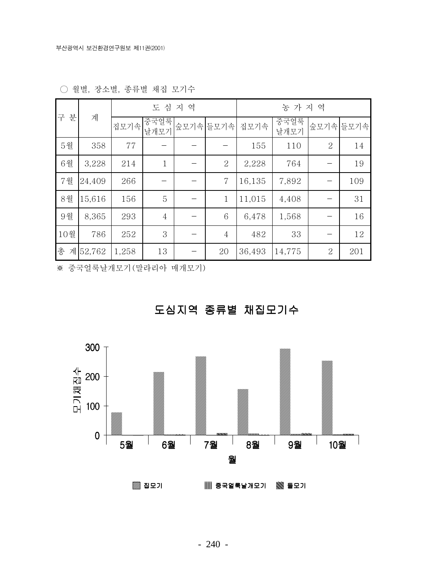|        | 계      |       | 도심지역           |                | 농 가 지 역 |              |                |           |  |
|--------|--------|-------|----------------|----------------|---------|--------------|----------------|-----------|--|
| 구<br>분 |        | 집모기속  | 중국얼룩<br>날개모기   | 숲모기속 들모기속      | 집모기속    | 중국얼룩<br>날개모기 |                | 숲모기속 들모기속 |  |
| 5월     | 358    | 77    |                |                | 155     | 110          | 2              | 14        |  |
| 6월     | 3,228  | 214   | $\mathbf{1}$   | $\overline{2}$ | 2,228   | 764          |                | 19        |  |
| 7월     | 24,409 | 266   |                | 7              | 16,135  | 7,892        |                | 109       |  |
| 8월     | 15,616 | 156   | 5              | $\mathbf{1}$   | 11,015  | 4,408        |                | 31        |  |
| 9월     | 8,365  | 293   | $\overline{4}$ | 6              | 6,478   | 1,568        |                | 16        |  |
| 10월    | 786    | 252   | 3              | $\overline{4}$ | 482     | 33           |                | 12        |  |
| 총<br>계 | 52,762 | 1,258 | 13             | 20             | 36,493  | 14,775       | $\overline{2}$ | 201       |  |

○ 월별, 장소별, 종류별 채집 모기수

※ 중국얼룩날개모기 (말라리아 매개모기)



# 도심지역 종류별 채집모기수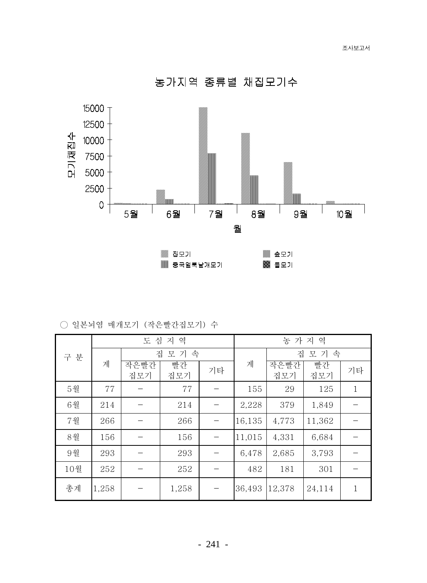농가지역 종류별 채집모기수



○ 일본뇌염 매개모기 (작은빨간집모기) 수

| 구 분 |       |             | 도심지역      |    | 농 가 지 역 |             |           |              |  |
|-----|-------|-------------|-----------|----|---------|-------------|-----------|--------------|--|
|     |       |             | 집 모 기 속   |    |         | 집<br>모 기 속  |           |              |  |
|     | 계     | 작은빨간<br>집모기 | 빨간<br>집모기 | 기타 | 계       | 작은빨간<br>집모기 | 빨간<br>집모기 | 기타           |  |
| 5월  | 77    |             | 77        |    | 155     | 29          | 125       | $\mathbf{1}$ |  |
| 6월  | 214   |             | 214       |    | 2,228   | 379         | 1,849     |              |  |
| 7월  | 266   |             | 266       |    | 16,135  | 4,773       | 11,362    |              |  |
| 8월  | 156   |             | 156       |    | 11,015  | 4,331       | 6,684     |              |  |
| 9월  | 293   |             | 293       |    | 6,478   | 2,685       | 3,793     |              |  |
| 10월 | 252   |             | 252       |    | 482     | 181         | 301       |              |  |
| 총계  | 1,258 |             | 1,258     |    | 36,493  | 12,378      | 24,114    | 1            |  |